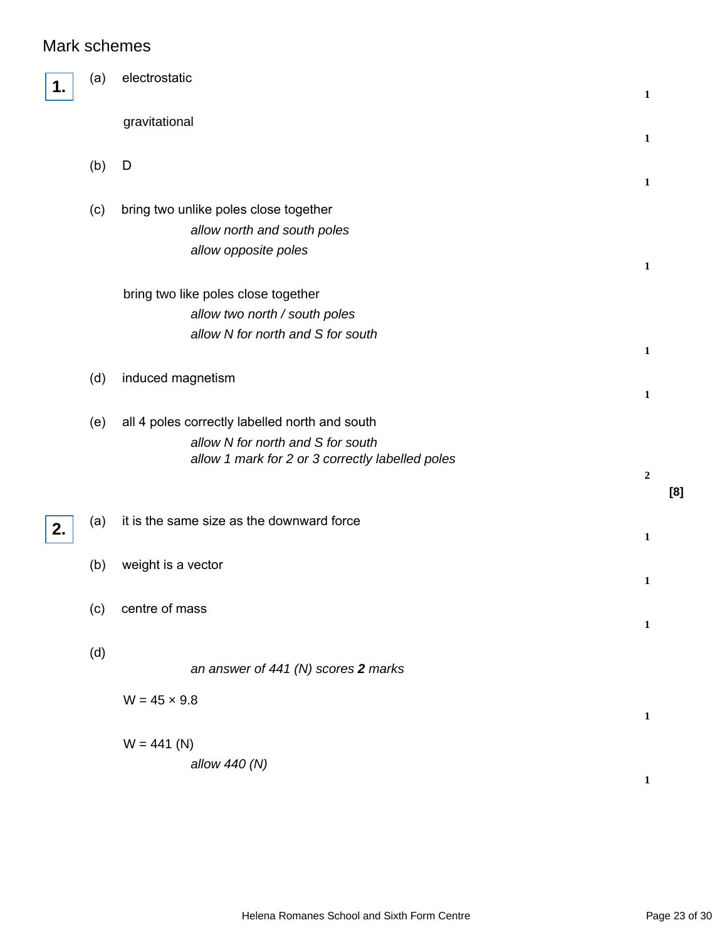## Mark schemes

|    | (a) | electrostatic                                                                                                                           | $\mathbf{1}$      |     |
|----|-----|-----------------------------------------------------------------------------------------------------------------------------------------|-------------------|-----|
|    |     | gravitational                                                                                                                           | $\mathbf{1}$      |     |
|    | (b) | D                                                                                                                                       |                   |     |
|    | (c) | bring two unlike poles close together<br>allow north and south poles<br>allow opposite poles                                            | 1<br>$\mathbf{1}$ |     |
|    |     | bring two like poles close together<br>allow two north / south poles<br>allow N for north and S for south                               | $\mathbf{1}$      |     |
|    | (d) | induced magnetism                                                                                                                       | $\mathbf{1}$      |     |
|    | (e) | all 4 poles correctly labelled north and south<br>allow N for north and S for south<br>allow 1 mark for 2 or 3 correctly labelled poles | $\mathbf 2$       | [8] |
| 2. | (a) | it is the same size as the downward force                                                                                               | $\mathbf{1}$      |     |
|    | (b) | weight is a vector                                                                                                                      | $\mathbf{1}$      |     |
|    | (c) | centre of mass                                                                                                                          | $\mathbf{1}$      |     |
|    | (d) | an answer of 441 (N) scores 2 marks                                                                                                     |                   |     |
|    |     | $W = 45 \times 9.8$                                                                                                                     | $\mathbf{1}$      |     |
|    |     | $W = 441 (N)$<br>allow 440 (N)                                                                                                          | $\mathbf 1$       |     |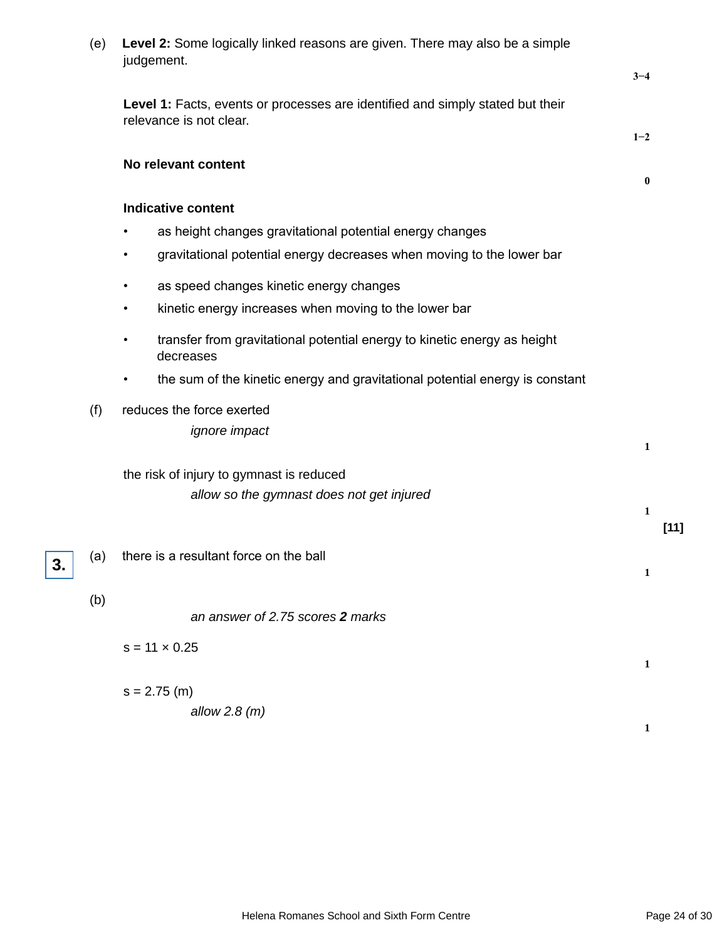| (e) | Level 2: Some logically linked reasons are given. There may also be a simple<br>judgement.                |              |
|-----|-----------------------------------------------------------------------------------------------------------|--------------|
|     |                                                                                                           | $3 - 4$      |
|     | Level 1: Facts, events or processes are identified and simply stated but their<br>relevance is not clear. |              |
|     |                                                                                                           | $1 - 2$      |
|     | No relevant content                                                                                       | $\bf{0}$     |
|     |                                                                                                           |              |
|     | <b>Indicative content</b>                                                                                 |              |
|     | as height changes gravitational potential energy changes<br>$\bullet$                                     |              |
|     | gravitational potential energy decreases when moving to the lower bar                                     |              |
|     | as speed changes kinetic energy changes<br>$\bullet$                                                      |              |
|     | kinetic energy increases when moving to the lower bar<br>$\bullet$                                        |              |
|     | transfer from gravitational potential energy to kinetic energy as height<br>$\bullet$<br>decreases        |              |
|     | the sum of the kinetic energy and gravitational potential energy is constant<br>$\bullet$                 |              |
| (f) | reduces the force exerted<br><i>ignore</i> impact                                                         |              |
|     |                                                                                                           | 1            |
|     | the risk of injury to gymnast is reduced                                                                  |              |
|     | allow so the gymnast does not get injured                                                                 | 1            |
|     |                                                                                                           | $[11]$       |
| (a) | there is a resultant force on the ball                                                                    |              |
|     |                                                                                                           | $\mathbf{1}$ |
| (b) |                                                                                                           |              |
|     | an answer of 2.75 scores 2 marks                                                                          |              |
|     | $s = 11 \times 0.25$                                                                                      |              |
|     |                                                                                                           | 1            |
|     | $s = 2.75$ (m)                                                                                            |              |
|     | allow $2.8$ (m)                                                                                           | 1            |

**3.**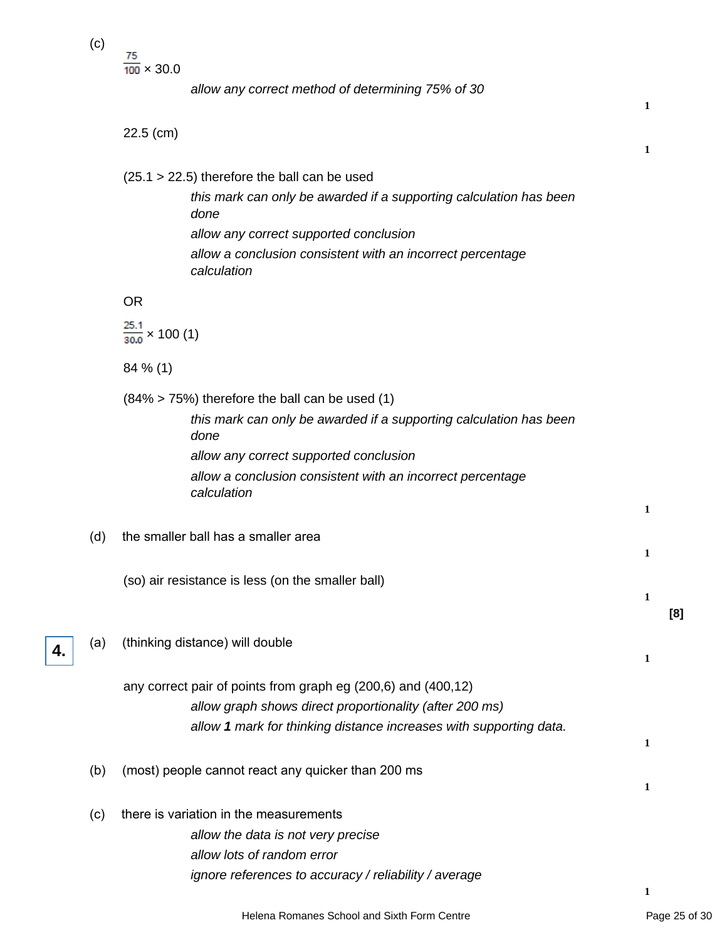(c)

**4.**

 $\frac{75}{100} \times 30.0$ 

allow any correct method of determining 75% of 30

|     | $22.5$ (cm)                                                                | 1 |
|-----|----------------------------------------------------------------------------|---|
|     | $(25.1 > 22.5)$ therefore the ball can be used                             |   |
|     | this mark can only be awarded if a supporting calculation has been<br>done |   |
|     | allow any correct supported conclusion                                     |   |
|     | allow a conclusion consistent with an incorrect percentage<br>calculation  |   |
|     | <b>OR</b>                                                                  |   |
|     | $\frac{25.1}{30.0}$ × 100 (1)                                              |   |
|     | $84\%$ (1)                                                                 |   |
|     | $(84\% > 75\%)$ therefore the ball can be used (1)                         |   |
|     | this mark can only be awarded if a supporting calculation has been<br>done |   |
|     | allow any correct supported conclusion                                     |   |
|     | allow a conclusion consistent with an incorrect percentage<br>calculation  |   |
|     |                                                                            | 1 |
| (d) | the smaller ball has a smaller area                                        |   |
|     |                                                                            | 1 |
|     | (so) air resistance is less (on the smaller ball)                          | 1 |
|     |                                                                            |   |
| (a) | (thinking distance) will double                                            |   |
|     |                                                                            | 1 |
|     | any correct pair of points from graph eg (200,6) and (400,12)              |   |
|     | allow graph shows direct proportionality (after 200 ms)                    |   |
|     | allow 1 mark for thinking distance increases with supporting data.         | 1 |
|     |                                                                            |   |
| (b) | (most) people cannot react any quicker than 200 ms                         | 1 |
| (c) | there is variation in the measurements                                     |   |
|     | allow the data is not very precise                                         |   |
|     | allow lots of random error                                                 |   |
|     | ignore references to accuracy / reliability / average                      |   |

**1**

**1**

**[8]**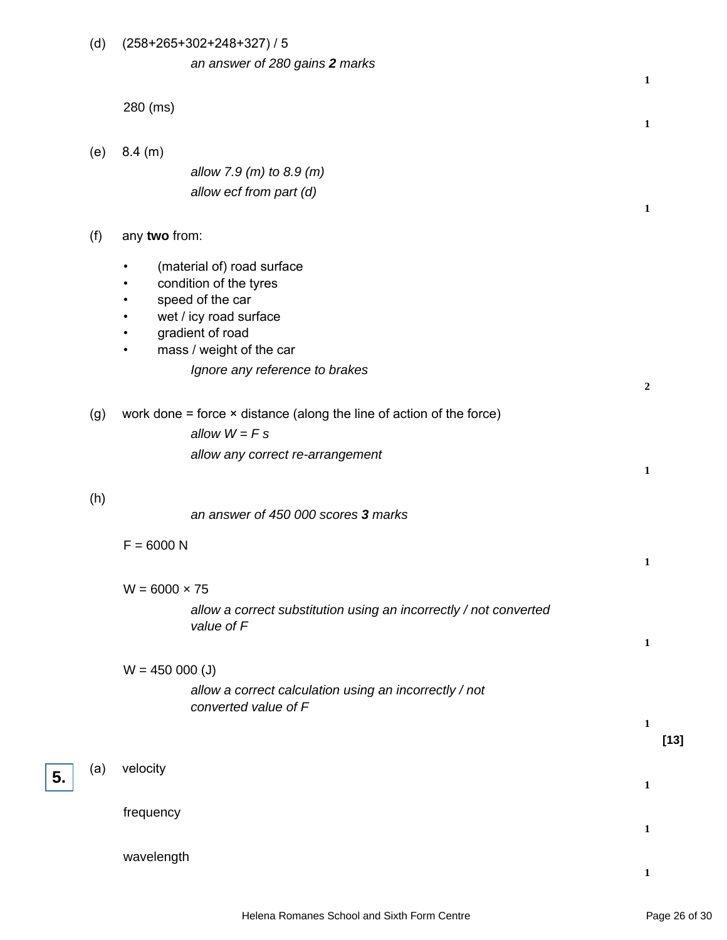| (d) | $(258+265+302+248+327)/5$                                                                                                                                                                                                        |                  |
|-----|----------------------------------------------------------------------------------------------------------------------------------------------------------------------------------------------------------------------------------|------------------|
|     | an answer of 280 gains 2 marks                                                                                                                                                                                                   | 1                |
|     | 280 (ms)                                                                                                                                                                                                                         | 1                |
| (e) | 8.4 (m)                                                                                                                                                                                                                          |                  |
|     | allow 7.9 (m) to 8.9 (m)                                                                                                                                                                                                         |                  |
|     | allow ecf from part (d)                                                                                                                                                                                                          | 1                |
| (f) | any two from:                                                                                                                                                                                                                    |                  |
|     | (material of) road surface<br>$\bullet$<br>condition of the tyres<br>speed of the car<br>$\bullet$<br>wet / icy road surface<br>٠<br>gradient of road<br>mass / weight of the car<br>$\bullet$<br>Ignore any reference to brakes | $\boldsymbol{2}$ |
| (g) | work done $=$ force $\times$ distance (along the line of action of the force)                                                                                                                                                    |                  |
|     | allow $W = F s$                                                                                                                                                                                                                  |                  |
|     | allow any correct re-arrangement                                                                                                                                                                                                 |                  |
|     |                                                                                                                                                                                                                                  | 1                |
| (h) | an answer of 450 000 scores 3 marks                                                                                                                                                                                              |                  |
|     | $F = 6000 N$                                                                                                                                                                                                                     | 1                |
|     | $W = 6000 \times 75$                                                                                                                                                                                                             |                  |
|     | allow a correct substitution using an incorrectly / not converted                                                                                                                                                                |                  |
|     | value of F                                                                                                                                                                                                                       | 1                |
|     |                                                                                                                                                                                                                                  |                  |
|     | $W = 450 000 (J)$<br>allow a correct calculation using an incorrectly / not<br>converted value of F                                                                                                                              |                  |
|     |                                                                                                                                                                                                                                  | 1                |
|     |                                                                                                                                                                                                                                  | $[13]$           |
| (a) | velocity                                                                                                                                                                                                                         | $\mathbf{1}$     |
|     | frequency                                                                                                                                                                                                                        | 1                |
|     | wavelength                                                                                                                                                                                                                       |                  |

**5.**

**1**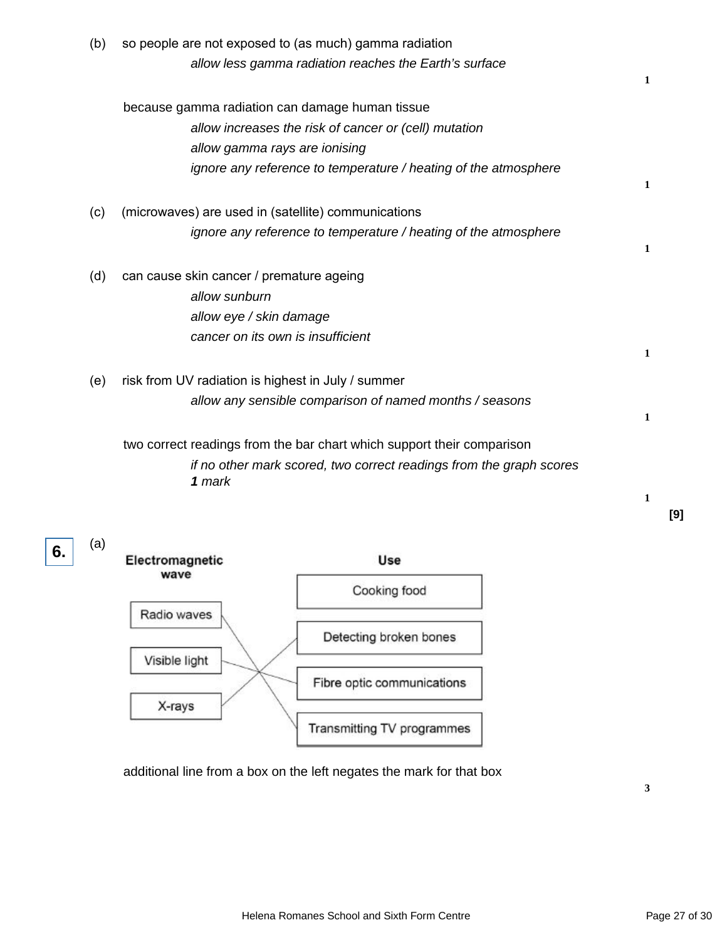| (b) | so people are not exposed to (as much) gamma radiation                 |              |
|-----|------------------------------------------------------------------------|--------------|
|     | allow less gamma radiation reaches the Earth's surface                 |              |
|     |                                                                        | 1            |
|     | because gamma radiation can damage human tissue                        |              |
|     | allow increases the risk of cancer or (cell) mutation                  |              |
|     | allow gamma rays are ionising                                          |              |
|     | ignore any reference to temperature / heating of the atmosphere        |              |
|     |                                                                        | $\mathbf{1}$ |
| (c) | (microwaves) are used in (satellite) communications                    |              |
|     | ignore any reference to temperature / heating of the atmosphere        |              |
|     |                                                                        | 1            |
| (d) | can cause skin cancer / premature ageing                               |              |
|     | allow sunburn                                                          |              |
|     | allow eye / skin damage                                                |              |
|     | cancer on its own is insufficient                                      |              |
|     |                                                                        | 1            |
| (e) | risk from UV radiation is highest in July / summer                     |              |
|     | allow any sensible comparison of named months / seasons                |              |
|     |                                                                        | 1            |
|     | two correct readings from the bar chart which support their comparison |              |
|     | if no other mark scored, two correct readings from the graph scores    |              |
|     | 1 mark                                                                 |              |
|     |                                                                        | 1            |
|     |                                                                        |              |



**6.**

additional line from a box on the left negates the mark for that box

**3**

**[9]**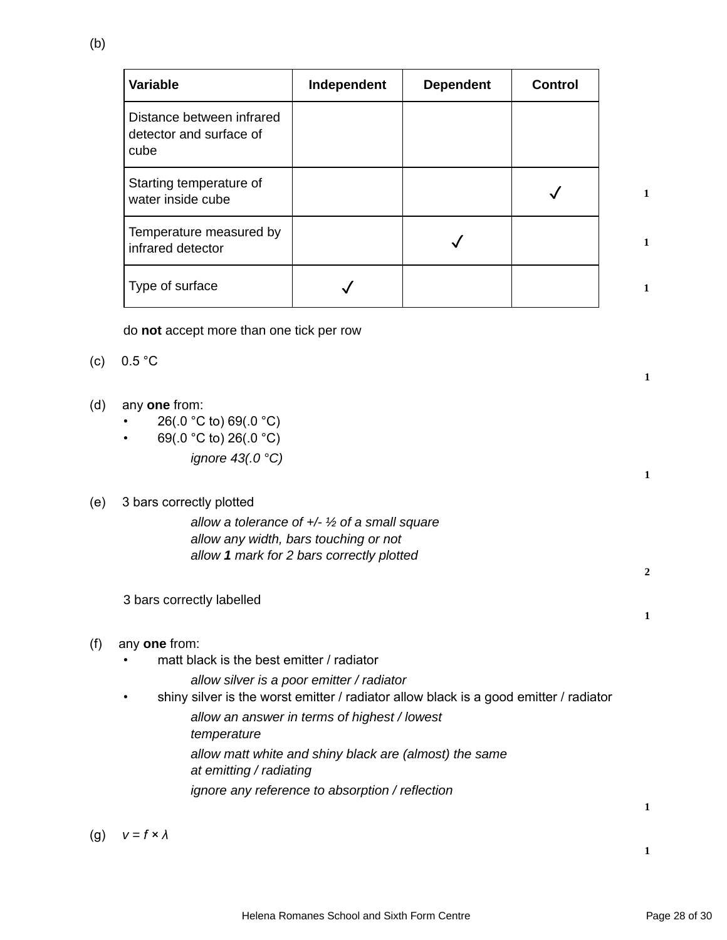| Variable                                                     | Independent | <b>Dependent</b> | <b>Control</b> |  |
|--------------------------------------------------------------|-------------|------------------|----------------|--|
| Distance between infrared<br>detector and surface of<br>cube |             |                  |                |  |
| Starting temperature of<br>water inside cube                 |             |                  |                |  |
| Temperature measured by<br>infrared detector                 |             |                  |                |  |
| Type of surface                                              |             |                  |                |  |

do **not** accept more than one tick per row

- (c) 0.5 °C
- (d) any **one** from:
	- $26(.0 °C)$  to)  $69(.0 °C)$
	- $69(.0 °C)$  to) 26(.0 °C) ignore 43(.0 °C)

| (e) | 3 bars correctly plotted                                                                   |              |
|-----|--------------------------------------------------------------------------------------------|--------------|
|     | allow a tolerance of $+\frac{1}{2}$ of a small square                                      |              |
|     | allow any width, bars touching or not                                                      |              |
|     | allow 1 mark for 2 bars correctly plotted                                                  | $\mathbf{2}$ |
|     | 3 bars correctly labelled                                                                  |              |
|     |                                                                                            | 1            |
| (f) | any one from:                                                                              |              |
|     | matt black is the best emitter / radiator                                                  |              |
|     | allow silver is a poor emitter / radiator                                                  |              |
|     | shiny silver is the worst emitter / radiator allow black is a good emitter / radiator<br>٠ |              |
|     | allow an answer in terms of highest / lowest                                               |              |
|     | temperature                                                                                |              |
|     | allow matt white and shiny black are (almost) the same<br>at emitting / radiating          |              |
|     | ignore any reference to absorption / reflection                                            |              |
|     |                                                                                            | 1            |
|     |                                                                                            |              |

**1**

**1**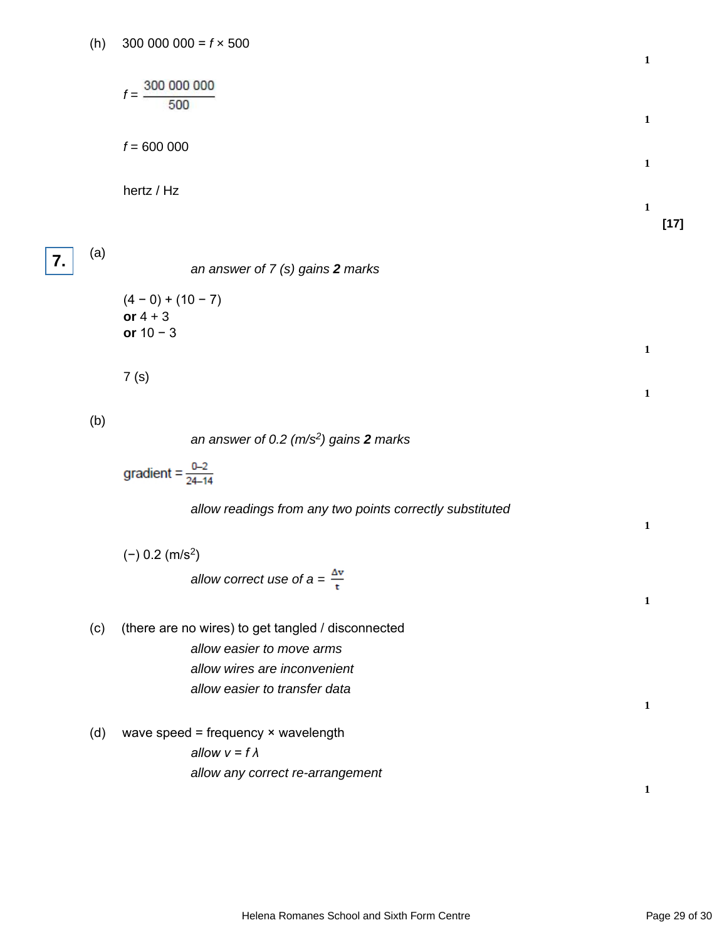(h)  $300\,000\,000 = f \times 500$ 

$$
f = \frac{300\ 000\ 000}{500}
$$
  

$$
f = 600\ 000
$$
  
1  
hertz / Hz  
1  
[17]

**7.**

an answer of 7 (s) gains **2** marks

 $(4 - 0) + (10 - 7)$ **or** 4 + 3 **or** 10 − 3

7 (s)

(b)

(a)

an answer of 0.2 (m/s<sup>2</sup> ) gains **2** marks

gradient =  $\frac{0-2}{24-14}$ 

allow readings from any two points correctly substituted

|     | $(-)$ 0.2 (m/s <sup>2</sup> )                      |   |
|-----|----------------------------------------------------|---|
|     | allow correct use of $a = \frac{\Delta v}{r}$      | 1 |
| (c) | (there are no wires) to get tangled / disconnected |   |
|     | allow easier to move arms                          |   |
|     | allow wires are inconvenient                       |   |
|     | allow easier to transfer data                      |   |
|     |                                                    | 1 |
| (d) | wave speed = frequency $\times$ wavelength         |   |
|     | allow $v = f \lambda$                              |   |
|     | allow any correct re-arrangement                   |   |
|     |                                                    |   |

**1**

**1**

**1**